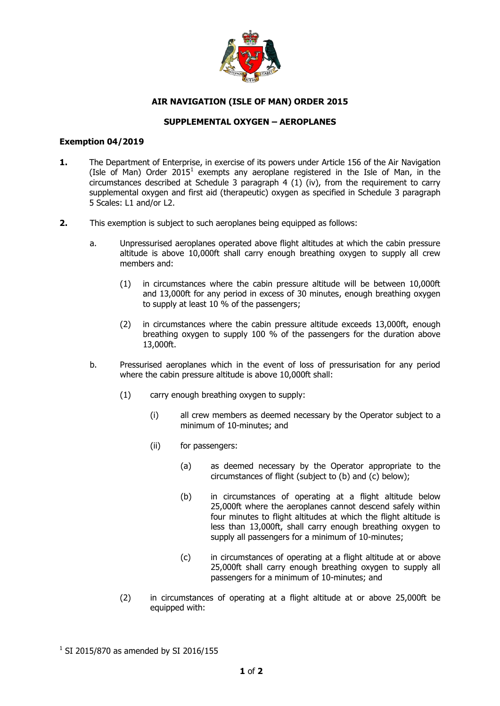

## **AIR NAVIGATION (ISLE OF MAN) ORDER 2015**

## **SUPPLEMENTAL OXYGEN – AEROPLANES**

## **Exemption 04/2019**

- **1.** The Department of Enterprise, in exercise of its powers under Article 156 of the Air Navigation (Isle of Man) Order 2015<sup>1</sup> exempts any aeroplane registered in the Isle of Man, in the circumstances described at Schedule 3 paragraph 4 (1) (iv), from the requirement to carry supplemental oxygen and first aid (therapeutic) oxygen as specified in Schedule 3 paragraph 5 Scales: L1 and/or L2.
- **2.** This exemption is subject to such aeroplanes being equipped as follows:
	- a. Unpressurised aeroplanes operated above flight altitudes at which the cabin pressure altitude is above 10,000ft shall carry enough breathing oxygen to supply all crew members and:
		- (1) in circumstances where the cabin pressure altitude will be between 10,000ft and 13,000ft for any period in excess of 30 minutes, enough breathing oxygen to supply at least 10 % of the passengers;
		- (2) in circumstances where the cabin pressure altitude exceeds 13,000ft, enough breathing oxygen to supply 100 % of the passengers for the duration above 13,000ft.
	- b. Pressurised aeroplanes which in the event of loss of pressurisation for any period where the cabin pressure altitude is above 10,000ft shall:
		- (1) carry enough breathing oxygen to supply:
			- (i) all crew members as deemed necessary by the Operator subject to a minimum of 10-minutes; and
			- (ii) for passengers:
				- (a) as deemed necessary by the Operator appropriate to the circumstances of flight (subject to (b) and (c) below);
				- (b) in circumstances of operating at a flight altitude below 25,000ft where the aeroplanes cannot descend safely within four minutes to flight altitudes at which the flight altitude is less than 13,000ft, shall carry enough breathing oxygen to supply all passengers for a minimum of 10-minutes;
				- (c) in circumstances of operating at a flight altitude at or above 25,000ft shall carry enough breathing oxygen to supply all passengers for a minimum of 10-minutes; and
		- (2) in circumstances of operating at a flight altitude at or above 25,000ft be equipped with:

 $^{1}$  SI 2015/870 as amended by SI 2016/155